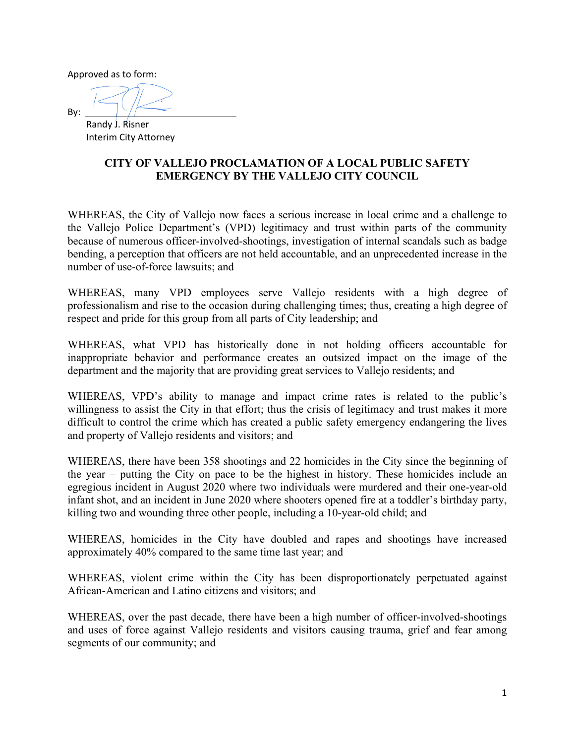Approved as to form:

By:

 Randy J. Risner Interim City Attorney

## **CITY OF VALLEJO PROCLAMATION OF A LOCAL PUBLIC SAFETY EMERGENCY BY THE VALLEJO CITY COUNCIL**

WHEREAS, the City of Vallejo now faces a serious increase in local crime and a challenge to the Vallejo Police Department's (VPD) legitimacy and trust within parts of the community because of numerous officer-involved-shootings, investigation of internal scandals such as badge bending, a perception that officers are not held accountable, and an unprecedented increase in the number of use-of-force lawsuits; and

WHEREAS, many VPD employees serve Vallejo residents with a high degree of professionalism and rise to the occasion during challenging times; thus, creating a high degree of respect and pride for this group from all parts of City leadership; and

WHEREAS, what VPD has historically done in not holding officers accountable for inappropriate behavior and performance creates an outsized impact on the image of the department and the majority that are providing great services to Vallejo residents; and

WHEREAS, VPD's ability to manage and impact crime rates is related to the public's willingness to assist the City in that effort; thus the crisis of legitimacy and trust makes it more difficult to control the crime which has created a public safety emergency endangering the lives and property of Vallejo residents and visitors; and

WHEREAS, there have been 358 shootings and 22 homicides in the City since the beginning of the year – putting the City on pace to be the highest in history. These homicides include an egregious incident in August 2020 where two individuals were murdered and their one-year-old infant shot, and an incident in June 2020 where shooters opened fire at a toddler's birthday party, killing two and wounding three other people, including a 10-year-old child; and

WHEREAS, homicides in the City have doubled and rapes and shootings have increased approximately 40% compared to the same time last year; and

WHEREAS, violent crime within the City has been disproportionately perpetuated against African-American and Latino citizens and visitors; and

WHEREAS, over the past decade, there have been a high number of officer-involved-shootings and uses of force against Vallejo residents and visitors causing trauma, grief and fear among segments of our community; and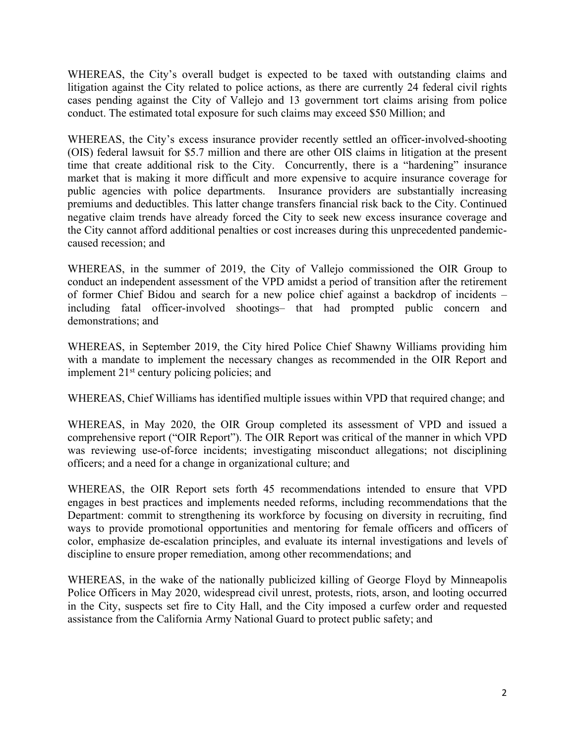WHEREAS, the City's overall budget is expected to be taxed with outstanding claims and litigation against the City related to police actions, as there are currently 24 federal civil rights cases pending against the City of Vallejo and 13 government tort claims arising from police conduct. The estimated total exposure for such claims may exceed \$50 Million; and

WHEREAS, the City's excess insurance provider recently settled an officer-involved-shooting (OIS) federal lawsuit for \$5.7 million and there are other OIS claims in litigation at the present time that create additional risk to the City. Concurrently, there is a "hardening" insurance market that is making it more difficult and more expensive to acquire insurance coverage for public agencies with police departments. Insurance providers are substantially increasing premiums and deductibles. This latter change transfers financial risk back to the City. Continued negative claim trends have already forced the City to seek new excess insurance coverage and the City cannot afford additional penalties or cost increases during this unprecedented pandemiccaused recession; and

WHEREAS, in the summer of 2019, the City of Vallejo commissioned the OIR Group to conduct an independent assessment of the VPD amidst a period of transition after the retirement of former Chief Bidou and search for a new police chief against a backdrop of incidents – including fatal officer-involved shootings– that had prompted public concern and demonstrations; and

WHEREAS, in September 2019, the City hired Police Chief Shawny Williams providing him with a mandate to implement the necessary changes as recommended in the OIR Report and implement 21st century policing policies; and

WHEREAS, Chief Williams has identified multiple issues within VPD that required change; and

WHEREAS, in May 2020, the OIR Group completed its assessment of VPD and issued a comprehensive report ("OIR Report"). The OIR Report was critical of the manner in which VPD was reviewing use-of-force incidents; investigating misconduct allegations; not disciplining officers; and a need for a change in organizational culture; and

WHEREAS, the OIR Report sets forth 45 recommendations intended to ensure that VPD engages in best practices and implements needed reforms, including recommendations that the Department: commit to strengthening its workforce by focusing on diversity in recruiting, find ways to provide promotional opportunities and mentoring for female officers and officers of color, emphasize de-escalation principles, and evaluate its internal investigations and levels of discipline to ensure proper remediation, among other recommendations; and

WHEREAS, in the wake of the nationally publicized killing of George Floyd by Minneapolis Police Officers in May 2020, widespread civil unrest, protests, riots, arson, and looting occurred in the City, suspects set fire to City Hall, and the City imposed a curfew order and requested assistance from the California Army National Guard to protect public safety; and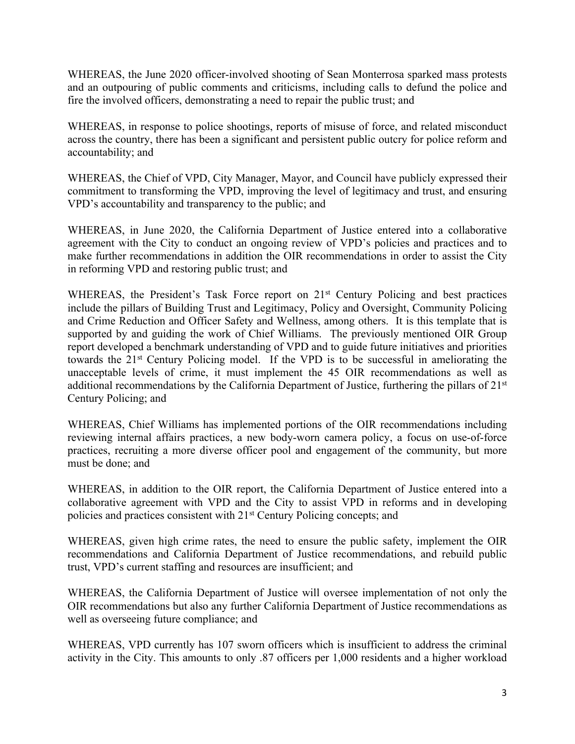WHEREAS, the June 2020 officer-involved shooting of Sean Monterrosa sparked mass protests and an outpouring of public comments and criticisms, including calls to defund the police and fire the involved officers, demonstrating a need to repair the public trust; and

WHEREAS, in response to police shootings, reports of misuse of force, and related misconduct across the country, there has been a significant and persistent public outcry for police reform and accountability; and

WHEREAS, the Chief of VPD, City Manager, Mayor, and Council have publicly expressed their commitment to transforming the VPD, improving the level of legitimacy and trust, and ensuring VPD's accountability and transparency to the public; and

WHEREAS, in June 2020, the California Department of Justice entered into a collaborative agreement with the City to conduct an ongoing review of VPD's policies and practices and to make further recommendations in addition the OIR recommendations in order to assist the City in reforming VPD and restoring public trust; and

WHEREAS, the President's Task Force report on 21<sup>st</sup> Century Policing and best practices include the pillars of Building Trust and Legitimacy, Policy and Oversight, Community Policing and Crime Reduction and Officer Safety and Wellness, among others. It is this template that is supported by and guiding the work of Chief Williams. The previously mentioned OIR Group report developed a benchmark understanding of VPD and to guide future initiatives and priorities towards the 21st Century Policing model. If the VPD is to be successful in ameliorating the unacceptable levels of crime, it must implement the 45 OIR recommendations as well as additional recommendations by the California Department of Justice, furthering the pillars of 21st Century Policing; and

WHEREAS, Chief Williams has implemented portions of the OIR recommendations including reviewing internal affairs practices, a new body-worn camera policy, a focus on use-of-force practices, recruiting a more diverse officer pool and engagement of the community, but more must be done; and

WHEREAS, in addition to the OIR report, the California Department of Justice entered into a collaborative agreement with VPD and the City to assist VPD in reforms and in developing policies and practices consistent with 21st Century Policing concepts; and

WHEREAS, given high crime rates, the need to ensure the public safety, implement the OIR recommendations and California Department of Justice recommendations, and rebuild public trust, VPD's current staffing and resources are insufficient; and

WHEREAS, the California Department of Justice will oversee implementation of not only the OIR recommendations but also any further California Department of Justice recommendations as well as overseeing future compliance; and

WHEREAS, VPD currently has 107 sworn officers which is insufficient to address the criminal activity in the City. This amounts to only .87 officers per 1,000 residents and a higher workload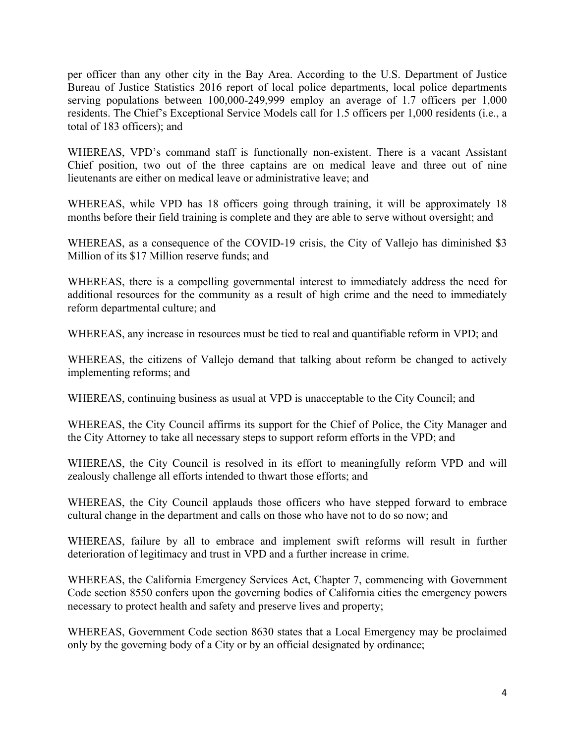per officer than any other city in the Bay Area. According to the U.S. Department of Justice Bureau of Justice Statistics 2016 report of local police departments, local police departments serving populations between 100,000-249,999 employ an average of 1.7 officers per 1,000 residents. The Chief's Exceptional Service Models call for 1.5 officers per 1,000 residents (i.e., a total of 183 officers); and

WHEREAS, VPD's command staff is functionally non-existent. There is a vacant Assistant Chief position, two out of the three captains are on medical leave and three out of nine lieutenants are either on medical leave or administrative leave; and

WHEREAS, while VPD has 18 officers going through training, it will be approximately 18 months before their field training is complete and they are able to serve without oversight; and

WHEREAS, as a consequence of the COVID-19 crisis, the City of Vallejo has diminished \$3 Million of its \$17 Million reserve funds; and

WHEREAS, there is a compelling governmental interest to immediately address the need for additional resources for the community as a result of high crime and the need to immediately reform departmental culture; and

WHEREAS, any increase in resources must be tied to real and quantifiable reform in VPD; and

WHEREAS, the citizens of Vallejo demand that talking about reform be changed to actively implementing reforms; and

WHEREAS, continuing business as usual at VPD is unacceptable to the City Council; and

WHEREAS, the City Council affirms its support for the Chief of Police, the City Manager and the City Attorney to take all necessary steps to support reform efforts in the VPD; and

WHEREAS, the City Council is resolved in its effort to meaningfully reform VPD and will zealously challenge all efforts intended to thwart those efforts; and

WHEREAS, the City Council applauds those officers who have stepped forward to embrace cultural change in the department and calls on those who have not to do so now; and

WHEREAS, failure by all to embrace and implement swift reforms will result in further deterioration of legitimacy and trust in VPD and a further increase in crime.

WHEREAS, the California Emergency Services Act, Chapter 7, commencing with Government Code section 8550 confers upon the governing bodies of California cities the emergency powers necessary to protect health and safety and preserve lives and property;

WHEREAS, Government Code section 8630 states that a Local Emergency may be proclaimed only by the governing body of a City or by an official designated by ordinance;